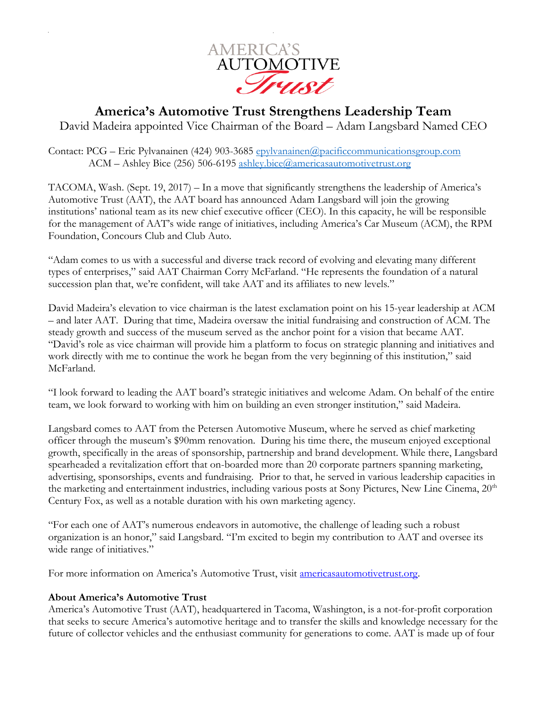

## **America's Automotive Trust Strengthens Leadership Team** David Madeira appointed Vice Chairman of the Board – Adam Langsbard Named CEO

Contact: PCG – Eric Pylvanainen (424) 903-3685 [epylvanainen@pacificcommunicationsgroup.com](mailto:epylvanainen@pacificcommunicationsgroup.com) ACM – Ashley Bice (256) 506-6195 [ashley.bice@americasautomotivetrust.org](mailto:ashley.bice@americasautomotivetrust.org)

TACOMA, Wash. (Sept. 19, 2017) – In a move that significantly strengthens the leadership of America's Automotive Trust (AAT), the AAT board has announced Adam Langsbard will join the growing institutions' national team as its new chief executive officer (CEO). In this capacity, he will be responsible for the management of AAT's wide range of initiatives, including America's Car Museum (ACM), the RPM Foundation, Concours Club and Club Auto.

"Adam comes to us with a successful and diverse track record of evolving and elevating many different types of enterprises," said AAT Chairman Corry McFarland. "He represents the foundation of a natural succession plan that, we're confident, will take AAT and its affiliates to new levels."

David Madeira's elevation to vice chairman is the latest exclamation point on his 15-year leadership at ACM – and later AAT. During that time, Madeira oversaw the initial fundraising and construction of ACM. The steady growth and success of the museum served as the anchor point for a vision that became AAT. "David's role as vice chairman will provide him a platform to focus on strategic planning and initiatives and work directly with me to continue the work he began from the very beginning of this institution," said McFarland.

"I look forward to leading the AAT board's strategic initiatives and welcome Adam. On behalf of the entire team, we look forward to working with him on building an even stronger institution," said Madeira.

Langsbard comes to AAT from the Petersen Automotive Museum, where he served as chief marketing officer through the museum's \$90mm renovation. During his time there, the museum enjoyed exceptional growth, specifically in the areas of sponsorship, partnership and brand development. While there, Langsbard spearheaded a revitalization effort that on-boarded more than 20 corporate partners spanning marketing, advertising, sponsorships, events and fundraising. Prior to that, he served in various leadership capacities in the marketing and entertainment industries, including various posts at Sony Pictures, New Line Cinema, 20<sup>th</sup> Century Fox, as well as a notable duration with his own marketing agency.

"For each one of AAT's numerous endeavors in automotive, the challenge of leading such a robust organization is an honor," said Langsbard. "I'm excited to begin my contribution to AAT and oversee its wide range of initiatives."

For more information on America's Automotive Trust, visit [americasautomotivetrust.org.](http://www.americasautomotivetrust.org/)

## **About America's Automotive Trust**

America's Automotive Trust (AAT), headquartered in Tacoma, Washington, is a not-for-profit corporation that seeks to secure America's automotive heritage and to transfer the skills and knowledge necessary for the future of collector vehicles and the enthusiast community for generations to come. AAT is made up of four